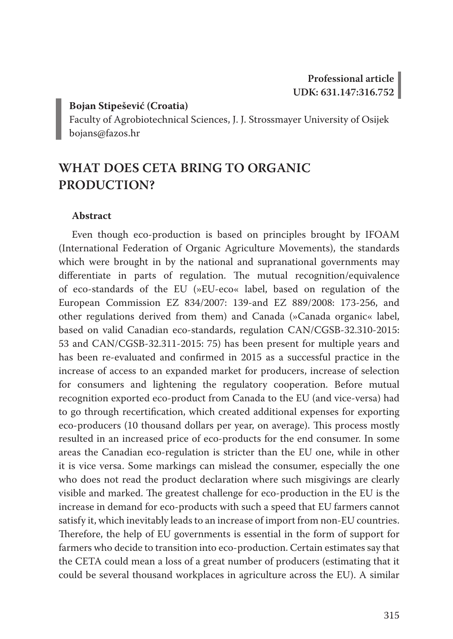#### **Bojan Stipešević (Croatia)**

Faculty of Agrobiotechnical Sciences, J. J. Strossmayer University of Osijek bojans@fazos.hr

# **WHAT DOES CETA BRING TO ORGANIC PRODUCTION?**

#### **Abstract**

Even though eco-production is based on principles brought by IFOAM (International Federation of Organic Agriculture Movements), the standards which were brought in by the national and supranational governments may differentiate in parts of regulation. The mutual recognition/equivalence of eco-standards of the EU (»EU-eco« label, based on regulation of the European Commission EZ 834/2007: 139-and EZ 889/2008: 173-256, and other regulations derived from them) and Canada (»Canada organic« label, based on valid Canadian eco-standards, regulation CAN/CGSB-32.310-2015: 53 and CAN/CGSB-32.311-2015: 75) has been present for multiple years and has been re-evaluated and confirmed in 2015 as a successful practice in the increase of access to an expanded market for producers, increase of selection for consumers and lightening the regulatory cooperation. Before mutual recognition exported eco-product from Canada to the EU (and vice-versa) had to go through recertification, which created additional expenses for exporting eco-producers (10 thousand dollars per year, on average). This process mostly resulted in an increased price of eco-products for the end consumer. In some areas the Canadian eco-regulation is stricter than the EU one, while in other it is vice versa. Some markings can mislead the consumer, especially the one who does not read the product declaration where such misgivings are clearly visible and marked. The greatest challenge for eco-production in the EU is the increase in demand for eco-products with such a speed that EU farmers cannot satisfy it, which inevitably leads to an increase of import from non-EU countries. Therefore, the help of EU governments is essential in the form of support for farmers who decide to transition into eco-production. Certain estimates say that the CETA could mean a loss of a great number of producers (estimating that it could be several thousand workplaces in agriculture across the EU). A similar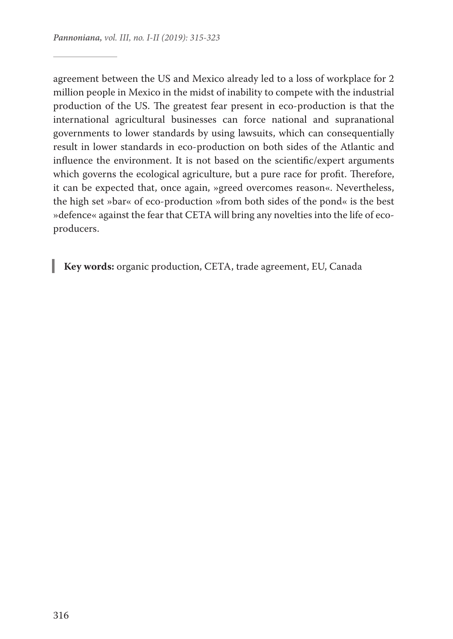agreement between the US and Mexico already led to a loss of workplace for 2 million people in Mexico in the midst of inability to compete with the industrial production of the US. The greatest fear present in eco-production is that the international agricultural businesses can force national and supranational governments to lower standards by using lawsuits, which can consequentially result in lower standards in eco-production on both sides of the Atlantic and influence the environment. It is not based on the scientific/expert arguments which governs the ecological agriculture, but a pure race for profit. Therefore, it can be expected that, once again, »greed overcomes reason«. Nevertheless, the high set »bar« of eco-production »from both sides of the pond« is the best »defence« against the fear that CETA will bring any novelties into the life of ecoproducers.

**Key words:** organic production, CETA, trade agreement, EU, Canada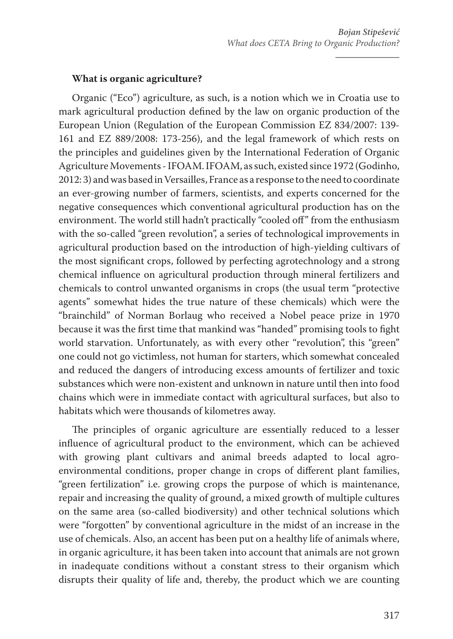#### **What is organic agriculture?**

Organic ("Eco") agriculture, as such, is a notion which we in Croatia use to mark agricultural production defined by the law on organic production of the European Union (Regulation of the European Commission EZ 834/2007: 139- 161 and EZ 889/2008: 173-256), and the legal framework of which rests on the principles and guidelines given by the International Federation of Organic Agriculture Movements - IFOAM. IFOAM, as such, existed since 1972 (Godinho, 2012: 3) and was based in Versailles, France as a response to the need to coordinate an ever-growing number of farmers, scientists, and experts concerned for the negative consequences which conventional agricultural production has on the environment. The world still hadn't practically "cooled off" from the enthusiasm with the so-called "green revolution", a series of technological improvements in agricultural production based on the introduction of high-yielding cultivars of the most significant crops, followed by perfecting agrotechnology and a strong chemical influence on agricultural production through mineral fertilizers and chemicals to control unwanted organisms in crops (the usual term "protective agents" somewhat hides the true nature of these chemicals) which were the "brainchild" of Norman Borlaug who received a Nobel peace prize in 1970 because it was the first time that mankind was "handed" promising tools to fight world starvation. Unfortunately, as with every other "revolution", this "green" one could not go victimless, not human for starters, which somewhat concealed and reduced the dangers of introducing excess amounts of fertilizer and toxic substances which were non-existent and unknown in nature until then into food chains which were in immediate contact with agricultural surfaces, but also to habitats which were thousands of kilometres away.

The principles of organic agriculture are essentially reduced to a lesser influence of agricultural product to the environment, which can be achieved with growing plant cultivars and animal breeds adapted to local agroenvironmental conditions, proper change in crops of different plant families, "green fertilization" i.e. growing crops the purpose of which is maintenance, repair and increasing the quality of ground, a mixed growth of multiple cultures on the same area (so-called biodiversity) and other technical solutions which were "forgotten" by conventional agriculture in the midst of an increase in the use of chemicals. Also, an accent has been put on a healthy life of animals where, in organic agriculture, it has been taken into account that animals are not grown in inadequate conditions without a constant stress to their organism which disrupts their quality of life and, thereby, the product which we are counting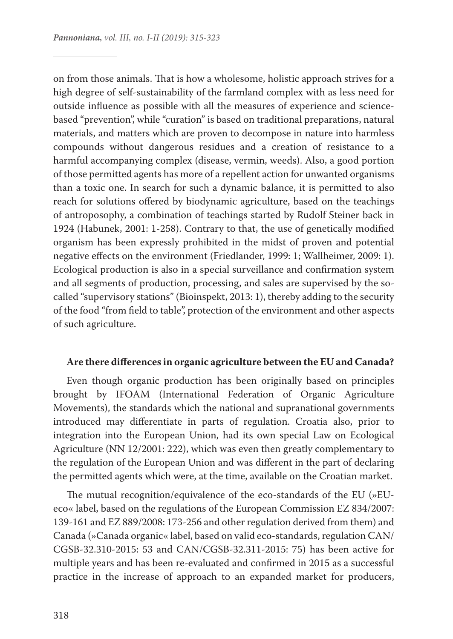on from those animals. That is how a wholesome, holistic approach strives for a high degree of self-sustainability of the farmland complex with as less need for outside influence as possible with all the measures of experience and sciencebased "prevention", while "curation" is based on traditional preparations, natural materials, and matters which are proven to decompose in nature into harmless compounds without dangerous residues and a creation of resistance to a harmful accompanying complex (disease, vermin, weeds). Also, a good portion of those permitted agents has more of a repellent action for unwanted organisms than a toxic one. In search for such a dynamic balance, it is permitted to also reach for solutions offered by biodynamic agriculture, based on the teachings of antroposophy, a combination of teachings started by Rudolf Steiner back in 1924 (Habunek, 2001: 1-258). Contrary to that, the use of genetically modified organism has been expressly prohibited in the midst of proven and potential negative effects on the environment (Friedlander, 1999: 1; Wallheimer, 2009: 1). Ecological production is also in a special surveillance and confirmation system and all segments of production, processing, and sales are supervised by the socalled "supervisory stations" (Bioinspekt, 2013: 1), thereby adding to the security of the food "from field to table", protection of the environment and other aspects of such agriculture.

#### **Are there differences in organic agriculture between the EU and Canada?**

Even though organic production has been originally based on principles brought by IFOAM (International Federation of Organic Agriculture Movements), the standards which the national and supranational governments introduced may differentiate in parts of regulation. Croatia also, prior to integration into the European Union, had its own special Law on Ecological Agriculture (NN 12/2001: 222), which was even then greatly complementary to the regulation of the European Union and was different in the part of declaring the permitted agents which were, at the time, available on the Croatian market.

The mutual recognition/equivalence of the eco-standards of the EU (»EUeco« label, based on the regulations of the European Commission EZ 834/2007: 139-161 and EZ 889/2008: 173-256 and other regulation derived from them) and Canada (»Canada organic« label, based on valid eco-standards, regulation CAN/ CGSB-32.310-2015: 53 and CAN/CGSB-32.311-2015: 75) has been active for multiple years and has been re-evaluated and confirmed in 2015 as a successful practice in the increase of approach to an expanded market for producers,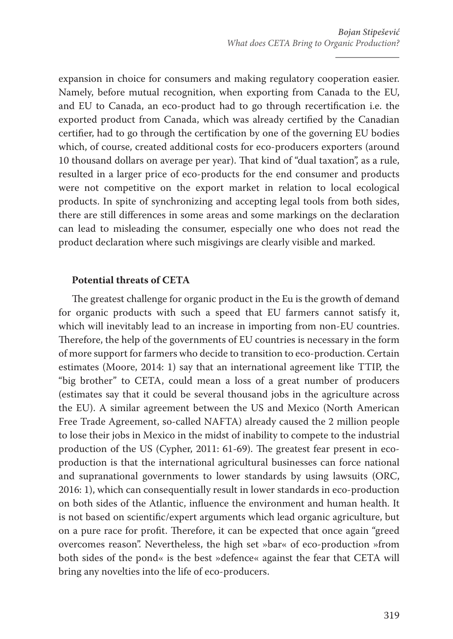expansion in choice for consumers and making regulatory cooperation easier. Namely, before mutual recognition, when exporting from Canada to the EU, and EU to Canada, an eco-product had to go through recertification i.e. the exported product from Canada, which was already certified by the Canadian certifier, had to go through the certification by one of the governing EU bodies which, of course, created additional costs for eco-producers exporters (around 10 thousand dollars on average per year). That kind of "dual taxation", as a rule, resulted in a larger price of eco-products for the end consumer and products were not competitive on the export market in relation to local ecological products. In spite of synchronizing and accepting legal tools from both sides, there are still differences in some areas and some markings on the declaration can lead to misleading the consumer, especially one who does not read the product declaration where such misgivings are clearly visible and marked.

#### **Potential threats of CETA**

The greatest challenge for organic product in the Eu is the growth of demand for organic products with such a speed that EU farmers cannot satisfy it, which will inevitably lead to an increase in importing from non-EU countries. Therefore, the help of the governments of EU countries is necessary in the form of more support for farmers who decide to transition to eco-production. Certain estimates (Moore, 2014: 1) say that an international agreement like TTIP, the "big brother" to CETA, could mean a loss of a great number of producers (estimates say that it could be several thousand jobs in the agriculture across the EU). A similar agreement between the US and Mexico (North American Free Trade Agreement, so-called NAFTA) already caused the 2 million people to lose their jobs in Mexico in the midst of inability to compete to the industrial production of the US (Cypher, 2011: 61-69). The greatest fear present in ecoproduction is that the international agricultural businesses can force national and supranational governments to lower standards by using lawsuits (ORC, 2016: 1), which can consequentially result in lower standards in eco-production on both sides of the Atlantic, influence the environment and human health. It is not based on scientific/expert arguments which lead organic agriculture, but on a pure race for profit. Therefore, it can be expected that once again "greed overcomes reason". Nevertheless, the high set »bar« of eco-production »from both sides of the pond« is the best »defence« against the fear that CETA will bring any novelties into the life of eco-producers.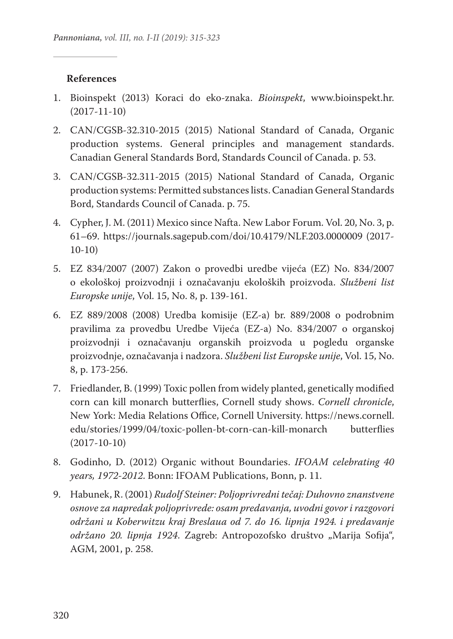### **References**

- 1. Bioinspekt (2013) Koraci do eko-znaka. *Bioinspekt*, www.bioinspekt.hr. (2017-11-10)
- 2. CAN/CGSB-32.310-2015 (2015) National Standard of Canada, Organic production systems. General principles and management standards. Canadian General Standards Bord, Standards Council of Canada. p. 53.
- 3. CAN/CGSB-32.311-2015 (2015) National Standard of Canada, Organic production systems: Permitted substances lists. Canadian General Standards Bord, Standards Council of Canada. p. 75.
- 4. Cypher, J. M. (2011) Mexico since Nafta. New Labor Forum. Vol. 20, No. 3, p. 61–69. https://journals.sagepub.com/doi/10.4179/NLF.203.0000009 (2017- 10-10)
- 5. EZ 834/2007 (2007) Zakon o provedbi uredbe vijeća (EZ) No. 834/2007 o ekološkoj proizvodnji i označavanju ekoloških proizvoda. *Službeni list Europske unije*, Vol. 15, No. 8, p. 139-161.
- 6. EZ 889/2008 (2008) Uredba komisije (EZ-a) br. 889/2008 o podrobnim pravilima za provedbu Uredbe Vijeća (EZ-a) No. 834/2007 o organskoj proizvodnji i označavanju organskih proizvoda u pogledu organske proizvodnje, označavanja i nadzora. *Službeni list Europske unije*, Vol. 15, No. 8, p. 173-256.
- 7. Friedlander, B. (1999) Toxic pollen from widely planted, genetically modified corn can kill monarch butterflies, Cornell study shows. *Cornell chronicle*, New York: Media Relations Office, Cornell University. https://news.cornell. edu/stories/1999/04/toxic-pollen-bt-corn-can-kill-monarch butterflies (2017-10-10)
- 8. Godinho, D. (2012) Organic without Boundaries. *IFOAM celebrating 40 years, 1972-2012*. Bonn: IFOAM Publications, Bonn, p. 11.
- 9. Habunek, R. (2001) *Rudolf Steiner: Poljoprivredni tečaj: Duhovno znanstvene osnove za napredak poljoprivrede: osam predavanja, uvodni govor i razgovori održani u Koberwitzu kraj Breslaua od 7. do 16. lipnja 1924. i predavanje*  održano 20. lipnja 1924. Zagreb: Antropozofsko društvo "Marija Sofija", AGM, 2001, p. 258.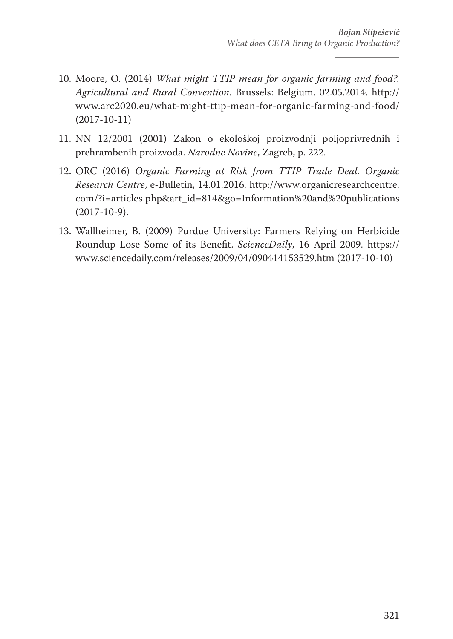- 10. Moore, O. (2014) *What might TTIP mean for organic farming and food?. Agricultural and Rural Convention*. Brussels: Belgium. 02.05.2014. http:// www.arc2020.eu/what-might-ttip-mean-for-organic-farming-and-food/ (2017-10-11)
- 11. NN 12/2001 (2001) Zakon o ekološkoj proizvodnji poljoprivrednih i prehrambenih proizvoda. *Narodne Novine*, Zagreb, p. 222.
- 12. ORC (2016) *Organic Farming at Risk from TTIP Trade Deal. Organic Research Centre*, e-Bulletin, 14.01.2016. http://www.organicresearchcentre. com/?i=articles.php&art\_id=814&go=Information%20and%20publications (2017-10-9).
- 13. Wallheimer, B. (2009) Purdue University: Farmers Relying on Herbicide Roundup Lose Some of its Benefit. *ScienceDaily*, 16 April 2009. https:// www.sciencedaily.com/releases/2009/04/090414153529.htm (2017-10-10)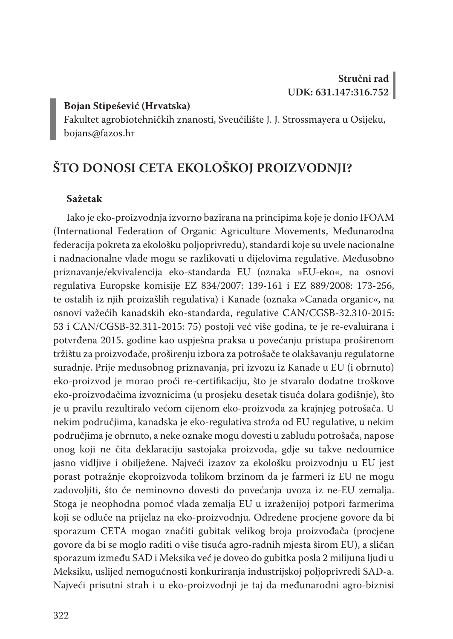#### **Bojan Stipešević (Hrvatska)**

Fakultet agrobiotehničkih znanosti, Sveučilište J. J. Strossmayera u Osijeku, bojans@fazos.hr

## **ŠTO DONOSI CETA EKOLOŠKOJ PROIZVODNJI?**

#### **Sažetak**

Iako je eko-proizvodnja izvorno bazirana na principima koje je donio IFOAM (International Federation of Organic Agriculture Movements, Međunarodna federacija pokreta za ekološku poljoprivredu), standardi koje su uvele nacionalne i nadnacionalne vlade mogu se razlikovati u dijelovima regulative. Međusobno priznavanje/ekvivalencija eko-standarda EU (oznaka »EU-eko«, na osnovi regulativa Europske komisije EZ 834/2007: 139-161 i EZ 889/2008: 173-256, te ostalih iz njih proizašlih regulativa) i Kanade (oznaka »Canada organic«, na osnovi važećih kanadskih eko-standarda, regulative CAN/CGSB-32.310-2015: 53 i CAN/CGSB-32.311-2015: 75) postoji već više godina, te je re-evaluirana i potvrđena 2015. godine kao uspješna praksa u povećanju pristupa proširenom tržištu za proizvođače, proširenju izbora za potrošače te olakšavanju regulatorne suradnje. Prije međusobnog priznavanja, pri izvozu iz Kanade u EU (i obrnuto) eko-proizvod je morao proći re-certifikaciju, što je stvaralo dodatne troškove eko-proizvođačima izvoznicima (u prosjeku desetak tisuća dolara godišnje), što je u pravilu rezultiralo većom cijenom eko-proizvoda za krajnjeg potrošača. U nekim područjima, kanadska je eko-regulativa stroža od EU regulative, u nekim područjima je obrnuto, a neke oznake mogu dovesti u zabludu potrošača, napose onog koji ne čita deklaraciju sastojaka proizvoda, gdje su takve nedoumice jasno vidljive i obilježene. Najveći izazov za ekološku proizvodnju u EU jest porast potražnje ekoproizvoda tolikom brzinom da je farmeri iz EU ne mogu zadovoljiti, što će neminovno dovesti do povećanja uvoza iz ne-EU zemalja. Stoga je neophodna pomoć vlada zemalja EU u izraženijoj potpori farmerima koji se odluče na prijelaz na eko-proizvodnju. Određene procjene govore da bi sporazum CETA mogao značiti gubitak velikog broja proizvođača (procjene govore da bi se moglo raditi o više tisuća agro-radnih mjesta širom EU), a sličan sporazum između SAD i Meksika već je doveo do gubitka posla 2 milijuna ljudi u Meksiku, uslijed nemogućnosti konkuriranja industrijskoj poljoprivredi SAD-a. Najveći prisutni strah i u eko-proizvodnji je taj da međunarodni agro-biznisi